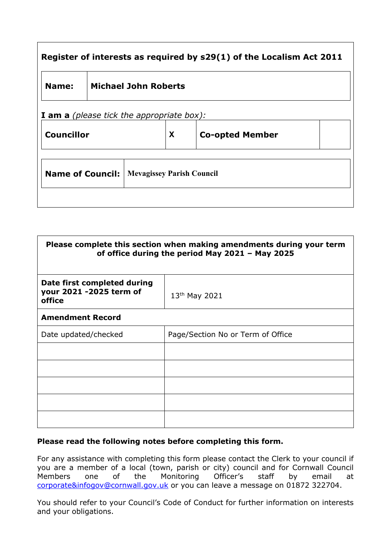| Register of interests as required by s29(1) of the Localism Act 2011 |                             |   |                        |  |  |
|----------------------------------------------------------------------|-----------------------------|---|------------------------|--|--|
| Name:                                                                | <b>Michael John Roberts</b> |   |                        |  |  |
| <b>I am a</b> (please tick the appropriate box):                     |                             |   |                        |  |  |
| <b>Councillor</b>                                                    |                             | X | <b>Co-opted Member</b> |  |  |
| <b>Name of Council:</b><br><b>Mevagissey Parish Council</b>          |                             |   |                        |  |  |
|                                                                      |                             |   |                        |  |  |

٦

 $\mathsf{r}$ 

| Please complete this section when making amendments during your term<br>of office during the period May 2021 - May 2025 |                                   |  |  |
|-------------------------------------------------------------------------------------------------------------------------|-----------------------------------|--|--|
| Date first completed during<br>your 2021 -2025 term of<br>office                                                        | $13th$ May 2021                   |  |  |
| <b>Amendment Record</b>                                                                                                 |                                   |  |  |
| Date updated/checked                                                                                                    | Page/Section No or Term of Office |  |  |
|                                                                                                                         |                                   |  |  |
|                                                                                                                         |                                   |  |  |
|                                                                                                                         |                                   |  |  |
|                                                                                                                         |                                   |  |  |
|                                                                                                                         |                                   |  |  |

## **Please read the following notes before completing this form.**

For any assistance with completing this form please contact the Clerk to your council if you are a member of a local (town, parish or city) council and for Cornwall Council Members one of the Monitoring Officer's staff by email at [corporate&infogov@cornwall.gov.uk](mailto:corporate&infogov@cornwall.gov.uk) or you can leave a message on 01872 322704.

You should refer to your Council's Code of Conduct for further information on interests and your obligations.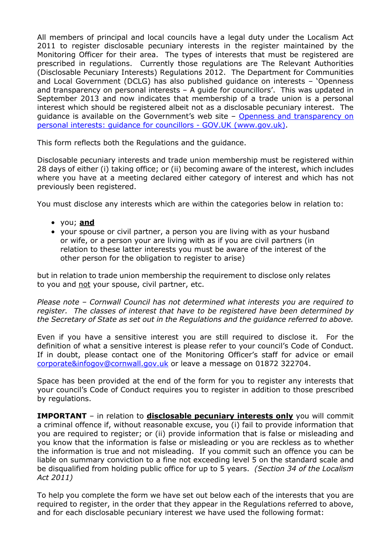All members of principal and local councils have a legal duty under the Localism Act 2011 to register disclosable pecuniary interests in the register maintained by the Monitoring Officer for their area. The types of interests that must be registered are prescribed in regulations. Currently those regulations are The Relevant Authorities (Disclosable Pecuniary Interests) Regulations 2012. The Department for Communities and Local Government (DCLG) has also published guidance on interests – 'Openness and transparency on personal interests – A guide for councillors'. This was updated in September 2013 and now indicates that membership of a trade union is a personal interest which should be registered albeit not as a disclosable pecuniary interest. The guidance is available on the Government's web site – [Openness and transparency on](https://www.gov.uk/government/publications/openness-and-transparency-on-personal-interests-guidance-for-councillors)  [personal interests: guidance for councillors -](https://www.gov.uk/government/publications/openness-and-transparency-on-personal-interests-guidance-for-councillors) GOV.UK (www.gov.uk).

This form reflects both the Regulations and the guidance.

Disclosable pecuniary interests and trade union membership must be registered within 28 days of either (i) taking office; or (ii) becoming aware of the interest, which includes where you have at a meeting declared either category of interest and which has not previously been registered.

You must disclose any interests which are within the categories below in relation to:

- you; **and**
- your spouse or civil partner, a person you are living with as your husband or wife, or a person your are living with as if you are civil partners (in relation to these latter interests you must be aware of the interest of the other person for the obligation to register to arise)

but in relation to trade union membership the requirement to disclose only relates to you and not your spouse, civil partner, etc.

*Please note – Cornwall Council has not determined what interests you are required to register. The classes of interest that have to be registered have been determined by the Secretary of State as set out in the Regulations and the guidance referred to above.*

Even if you have a sensitive interest you are still required to disclose it. For the definition of what a sensitive interest is please refer to your council's Code of Conduct. If in doubt, please contact one of the Monitoring Officer's staff for advice or email [corporate&infogov@cornwall.gov.uk](mailto:corporate&infogov@cornwall.gov.uk) or leave a message on 01872 322704.

Space has been provided at the end of the form for you to register any interests that your council's Code of Conduct requires you to register in addition to those prescribed by regulations.

**IMPORTANT** – in relation to **disclosable pecuniary interests only** you will commit a criminal offence if, without reasonable excuse, you (i) fail to provide information that you are required to register; or (ii) provide information that is false or misleading and you know that the information is false or misleading or you are reckless as to whether the information is true and not misleading. If you commit such an offence you can be liable on summary conviction to a fine not exceeding level 5 on the standard scale and be disqualified from holding public office for up to 5 years. *(Section 34 of the Localism Act 2011)*

To help you complete the form we have set out below each of the interests that you are required to register, in the order that they appear in the Regulations referred to above, and for each disclosable pecuniary interest we have used the following format: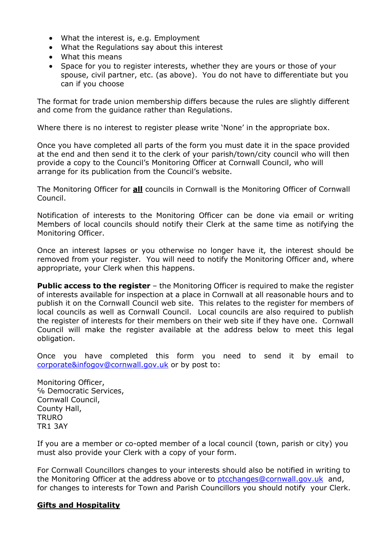- What the interest is, e.g. Employment
- What the Regulations say about this interest
- What this means
- Space for you to register interests, whether they are yours or those of your spouse, civil partner, etc. (as above). You do not have to differentiate but you can if you choose

The format for trade union membership differs because the rules are slightly different and come from the guidance rather than Regulations.

Where there is no interest to register please write 'None' in the appropriate box.

Once you have completed all parts of the form you must date it in the space provided at the end and then send it to the clerk of your parish/town/city council who will then provide a copy to the Council's Monitoring Officer at Cornwall Council, who will arrange for its publication from the Council's website.

The Monitoring Officer for **all** councils in Cornwall is the Monitoring Officer of Cornwall Council.

Notification of interests to the Monitoring Officer can be done via email or writing Members of local councils should notify their Clerk at the same time as notifying the Monitoring Officer.

Once an interest lapses or you otherwise no longer have it, the interest should be removed from your register. You will need to notify the Monitoring Officer and, where appropriate, your Clerk when this happens.

**Public access to the register** – the Monitoring Officer is required to make the register of interests available for inspection at a place in Cornwall at all reasonable hours and to publish it on the Cornwall Council web site. This relates to the register for members of local councils as well as Cornwall Council. Local councils are also required to publish the register of interests for their members on their web site if they have one. Cornwall Council will make the register available at the address below to meet this legal obligation.

Once you have completed this form you need to send it by email to [corporate&infogov@cornwall.gov.uk](mailto:corporate&infogov@cornwall.gov.uk) or by post to:

Monitoring Officer, ℅ Democratic Services, Cornwall Council, County Hall, **TRURO** TR1 3AY

If you are a member or co-opted member of a local council (town, parish or city) you must also provide your Clerk with a copy of your form.

For Cornwall Councillors changes to your interests should also be notified in writing to the Monitoring Officer at the address above or to [ptcchanges@cornwall.gov.uk](mailto:ptcchanges@cornwall.gov.uk) and, for changes to interests for Town and Parish Councillors you should notify your Clerk.

## **Gifts and Hospitality**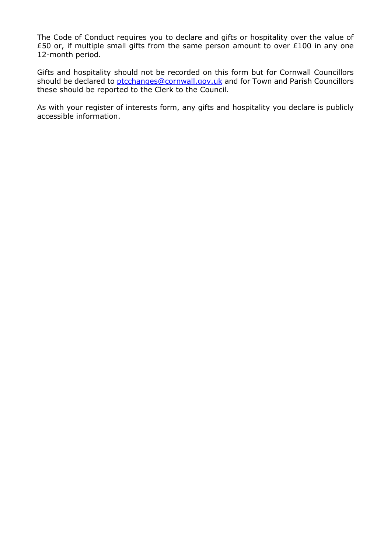The Code of Conduct requires you to declare and gifts or hospitality over the value of £50 or, if multiple small gifts from the same person amount to over £100 in any one 12-month period.

Gifts and hospitality should not be recorded on this form but for Cornwall Councillors should be declared to [ptcchanges@cornwall.gov.uk](mailto:ptcchanges@cornwall.gov.uk) and for Town and Parish Councillors these should be reported to the Clerk to the Council.

As with your register of interests form, any gifts and hospitality you declare is publicly accessible information.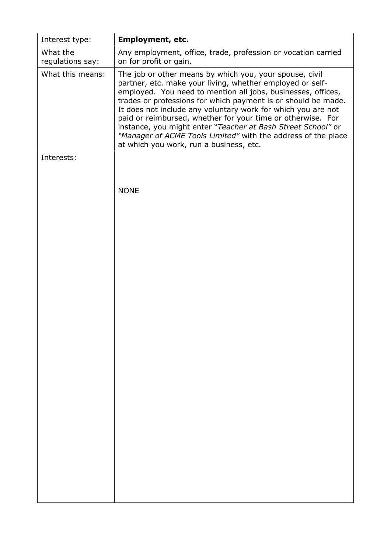| Interest type:               | Employment, etc.                                                                                                                                                                                                                                                                                                                                                                                                                                                                                                                                                 |
|------------------------------|------------------------------------------------------------------------------------------------------------------------------------------------------------------------------------------------------------------------------------------------------------------------------------------------------------------------------------------------------------------------------------------------------------------------------------------------------------------------------------------------------------------------------------------------------------------|
| What the<br>regulations say: | Any employment, office, trade, profession or vocation carried<br>on for profit or gain.                                                                                                                                                                                                                                                                                                                                                                                                                                                                          |
| What this means:             | The job or other means by which you, your spouse, civil<br>partner, etc. make your living, whether employed or self-<br>employed. You need to mention all jobs, businesses, offices,<br>trades or professions for which payment is or should be made.<br>It does not include any voluntary work for which you are not<br>paid or reimbursed, whether for your time or otherwise. For<br>instance, you might enter "Teacher at Bash Street School" or<br>"Manager of ACME Tools Limited" with the address of the place<br>at which you work, run a business, etc. |
| Interests:                   |                                                                                                                                                                                                                                                                                                                                                                                                                                                                                                                                                                  |
|                              | <b>NONE</b>                                                                                                                                                                                                                                                                                                                                                                                                                                                                                                                                                      |
|                              |                                                                                                                                                                                                                                                                                                                                                                                                                                                                                                                                                                  |
|                              |                                                                                                                                                                                                                                                                                                                                                                                                                                                                                                                                                                  |
|                              |                                                                                                                                                                                                                                                                                                                                                                                                                                                                                                                                                                  |
|                              |                                                                                                                                                                                                                                                                                                                                                                                                                                                                                                                                                                  |
|                              |                                                                                                                                                                                                                                                                                                                                                                                                                                                                                                                                                                  |
|                              |                                                                                                                                                                                                                                                                                                                                                                                                                                                                                                                                                                  |
|                              |                                                                                                                                                                                                                                                                                                                                                                                                                                                                                                                                                                  |
|                              |                                                                                                                                                                                                                                                                                                                                                                                                                                                                                                                                                                  |
|                              |                                                                                                                                                                                                                                                                                                                                                                                                                                                                                                                                                                  |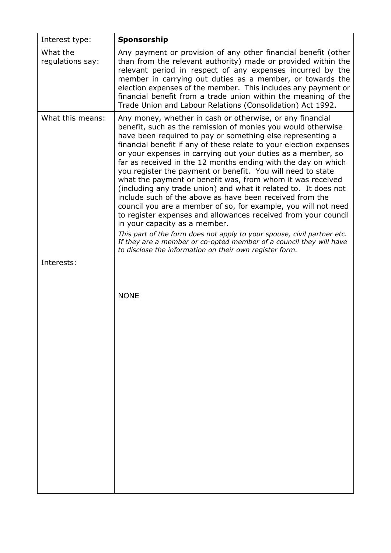| Interest type:               | Sponsorship                                                                                                                                                                                                                                                                                                                                                                                                                                                                                                                                                                                                                                                                                                                                                                                                                                                                                                                                                                                                                                  |
|------------------------------|----------------------------------------------------------------------------------------------------------------------------------------------------------------------------------------------------------------------------------------------------------------------------------------------------------------------------------------------------------------------------------------------------------------------------------------------------------------------------------------------------------------------------------------------------------------------------------------------------------------------------------------------------------------------------------------------------------------------------------------------------------------------------------------------------------------------------------------------------------------------------------------------------------------------------------------------------------------------------------------------------------------------------------------------|
| What the<br>regulations say: | Any payment or provision of any other financial benefit (other<br>than from the relevant authority) made or provided within the<br>relevant period in respect of any expenses incurred by the<br>member in carrying out duties as a member, or towards the<br>election expenses of the member. This includes any payment or<br>financial benefit from a trade union within the meaning of the<br>Trade Union and Labour Relations (Consolidation) Act 1992.                                                                                                                                                                                                                                                                                                                                                                                                                                                                                                                                                                                  |
| What this means:             | Any money, whether in cash or otherwise, or any financial<br>benefit, such as the remission of monies you would otherwise<br>have been required to pay or something else representing a<br>financial benefit if any of these relate to your election expenses<br>or your expenses in carrying out your duties as a member, so<br>far as received in the 12 months ending with the day on which<br>you register the payment or benefit. You will need to state<br>what the payment or benefit was, from whom it was received<br>(including any trade union) and what it related to. It does not<br>include such of the above as have been received from the<br>council you are a member of so, for example, you will not need<br>to register expenses and allowances received from your council<br>in your capacity as a member.<br>This part of the form does not apply to your spouse, civil partner etc.<br>If they are a member or co-opted member of a council they will have<br>to disclose the information on their own register form. |
| Interests:                   | <b>NONE</b>                                                                                                                                                                                                                                                                                                                                                                                                                                                                                                                                                                                                                                                                                                                                                                                                                                                                                                                                                                                                                                  |
|                              |                                                                                                                                                                                                                                                                                                                                                                                                                                                                                                                                                                                                                                                                                                                                                                                                                                                                                                                                                                                                                                              |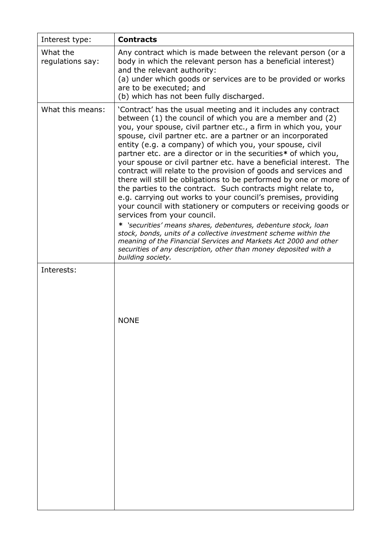| Interest type:               | <b>Contracts</b>                                                                                                                                                                                                                                                                                                                                                                                                                                                                                                                                                                                                                                                                                                                                                                                                                                                                                                                                                                                                                                                                                                                                   |
|------------------------------|----------------------------------------------------------------------------------------------------------------------------------------------------------------------------------------------------------------------------------------------------------------------------------------------------------------------------------------------------------------------------------------------------------------------------------------------------------------------------------------------------------------------------------------------------------------------------------------------------------------------------------------------------------------------------------------------------------------------------------------------------------------------------------------------------------------------------------------------------------------------------------------------------------------------------------------------------------------------------------------------------------------------------------------------------------------------------------------------------------------------------------------------------|
| What the<br>regulations say: | Any contract which is made between the relevant person (or a<br>body in which the relevant person has a beneficial interest)<br>and the relevant authority:<br>(a) under which goods or services are to be provided or works<br>are to be executed; and<br>(b) which has not been fully discharged.                                                                                                                                                                                                                                                                                                                                                                                                                                                                                                                                                                                                                                                                                                                                                                                                                                                |
| What this means:             | 'Contract' has the usual meeting and it includes any contract<br>between $(1)$ the council of which you are a member and $(2)$<br>you, your spouse, civil partner etc., a firm in which you, your<br>spouse, civil partner etc. are a partner or an incorporated<br>entity (e.g. a company) of which you, your spouse, civil<br>partner etc. are a director or in the securities* of which you,<br>your spouse or civil partner etc. have a beneficial interest. The<br>contract will relate to the provision of goods and services and<br>there will still be obligations to be performed by one or more of<br>the parties to the contract. Such contracts might relate to,<br>e.g. carrying out works to your council's premises, providing<br>your council with stationery or computers or receiving goods or<br>services from your council.<br>* 'securities' means shares, debentures, debenture stock, loan<br>stock, bonds, units of a collective investment scheme within the<br>meaning of the Financial Services and Markets Act 2000 and other<br>securities of any description, other than money deposited with a<br>building society. |
| Interests:                   |                                                                                                                                                                                                                                                                                                                                                                                                                                                                                                                                                                                                                                                                                                                                                                                                                                                                                                                                                                                                                                                                                                                                                    |
|                              | <b>NONE</b>                                                                                                                                                                                                                                                                                                                                                                                                                                                                                                                                                                                                                                                                                                                                                                                                                                                                                                                                                                                                                                                                                                                                        |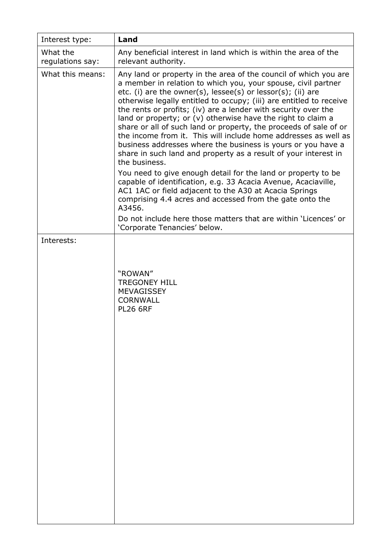| Interest type:               | Land                                                                                                                                                                                                                                                                                                                                                                                                                                                                                                                                                                                                                                                                                                  |
|------------------------------|-------------------------------------------------------------------------------------------------------------------------------------------------------------------------------------------------------------------------------------------------------------------------------------------------------------------------------------------------------------------------------------------------------------------------------------------------------------------------------------------------------------------------------------------------------------------------------------------------------------------------------------------------------------------------------------------------------|
| What the<br>regulations say: | Any beneficial interest in land which is within the area of the<br>relevant authority.                                                                                                                                                                                                                                                                                                                                                                                                                                                                                                                                                                                                                |
| What this means:             | Any land or property in the area of the council of which you are<br>a member in relation to which you, your spouse, civil partner<br>etc. (i) are the owner(s), lessee(s) or lessor(s); (ii) are<br>otherwise legally entitled to occupy; (iii) are entitled to receive<br>the rents or profits; (iv) are a lender with security over the<br>land or property; or (v) otherwise have the right to claim a<br>share or all of such land or property, the proceeds of sale of or<br>the income from it. This will include home addresses as well as<br>business addresses where the business is yours or you have a<br>share in such land and property as a result of your interest in<br>the business. |
|                              | You need to give enough detail for the land or property to be<br>capable of identification, e.g. 33 Acacia Avenue, Acaciaville,<br>AC1 1AC or field adjacent to the A30 at Acacia Springs<br>comprising 4.4 acres and accessed from the gate onto the<br>A3456.                                                                                                                                                                                                                                                                                                                                                                                                                                       |
|                              | Do not include here those matters that are within 'Licences' or<br>'Corporate Tenancies' below.                                                                                                                                                                                                                                                                                                                                                                                                                                                                                                                                                                                                       |
| Interests:                   | "ROWAN"<br><b>TREGONEY HILL</b><br><b>MEVAGISSEY</b><br><b>CORNWALL</b><br><b>PL26 6RF</b>                                                                                                                                                                                                                                                                                                                                                                                                                                                                                                                                                                                                            |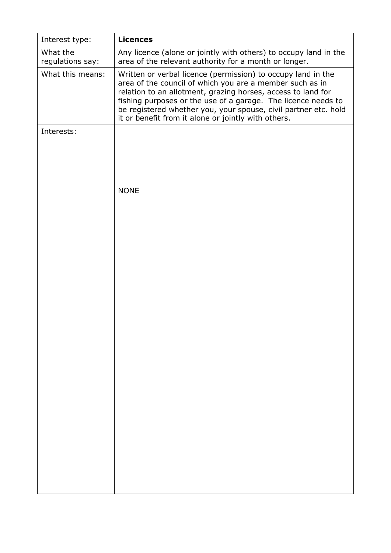| Interest type:               | <b>Licences</b>                                                                                                                                                                                                                                                                                                                                                                     |
|------------------------------|-------------------------------------------------------------------------------------------------------------------------------------------------------------------------------------------------------------------------------------------------------------------------------------------------------------------------------------------------------------------------------------|
| What the<br>regulations say: | Any licence (alone or jointly with others) to occupy land in the<br>area of the relevant authority for a month or longer.                                                                                                                                                                                                                                                           |
| What this means:             | Written or verbal licence (permission) to occupy land in the<br>area of the council of which you are a member such as in<br>relation to an allotment, grazing horses, access to land for<br>fishing purposes or the use of a garage. The licence needs to<br>be registered whether you, your spouse, civil partner etc. hold<br>it or benefit from it alone or jointly with others. |
| Interests:                   |                                                                                                                                                                                                                                                                                                                                                                                     |
|                              | <b>NONE</b>                                                                                                                                                                                                                                                                                                                                                                         |
|                              |                                                                                                                                                                                                                                                                                                                                                                                     |
|                              |                                                                                                                                                                                                                                                                                                                                                                                     |
|                              |                                                                                                                                                                                                                                                                                                                                                                                     |
|                              |                                                                                                                                                                                                                                                                                                                                                                                     |
|                              |                                                                                                                                                                                                                                                                                                                                                                                     |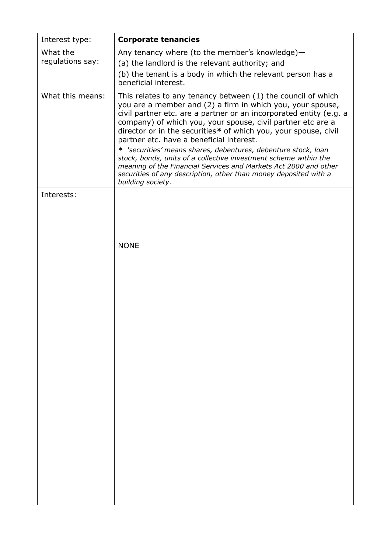| Interest type:               | <b>Corporate tenancies</b>                                                                                                                                                                                                                                                                                                                                                     |
|------------------------------|--------------------------------------------------------------------------------------------------------------------------------------------------------------------------------------------------------------------------------------------------------------------------------------------------------------------------------------------------------------------------------|
| What the<br>regulations say: | Any tenancy where (to the member's knowledge)-<br>(a) the landlord is the relevant authority; and<br>(b) the tenant is a body in which the relevant person has a<br>beneficial interest.                                                                                                                                                                                       |
| What this means:             | This relates to any tenancy between (1) the council of which<br>you are a member and (2) a firm in which you, your spouse,<br>civil partner etc. are a partner or an incorporated entity (e.g. a<br>company) of which you, your spouse, civil partner etc are a<br>director or in the securities* of which you, your spouse, civil<br>partner etc. have a beneficial interest. |
|                              | * 'securities' means shares, debentures, debenture stock, loan<br>stock, bonds, units of a collective investment scheme within the<br>meaning of the Financial Services and Markets Act 2000 and other<br>securities of any description, other than money deposited with a<br>building society.                                                                                |
| Interests:                   |                                                                                                                                                                                                                                                                                                                                                                                |
|                              | <b>NONE</b>                                                                                                                                                                                                                                                                                                                                                                    |
|                              |                                                                                                                                                                                                                                                                                                                                                                                |
|                              |                                                                                                                                                                                                                                                                                                                                                                                |
|                              |                                                                                                                                                                                                                                                                                                                                                                                |
|                              |                                                                                                                                                                                                                                                                                                                                                                                |
|                              |                                                                                                                                                                                                                                                                                                                                                                                |
|                              |                                                                                                                                                                                                                                                                                                                                                                                |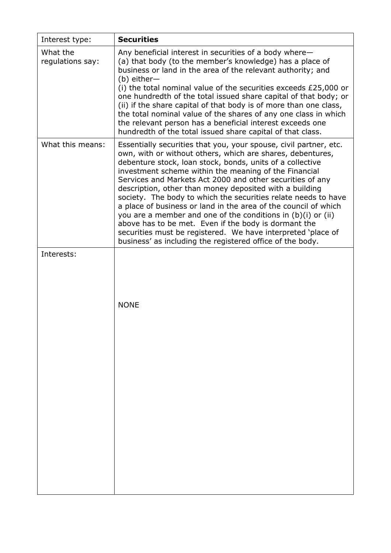| Interest type:               | <b>Securities</b>                                                                                                                                                                                                                                                                                                                                                                                                                                                                                                                                                                                                                                                                                                                                                       |
|------------------------------|-------------------------------------------------------------------------------------------------------------------------------------------------------------------------------------------------------------------------------------------------------------------------------------------------------------------------------------------------------------------------------------------------------------------------------------------------------------------------------------------------------------------------------------------------------------------------------------------------------------------------------------------------------------------------------------------------------------------------------------------------------------------------|
| What the<br>regulations say: | Any beneficial interest in securities of a body where-<br>(a) that body (to the member's knowledge) has a place of<br>business or land in the area of the relevant authority; and<br>$(b)$ either-<br>(i) the total nominal value of the securities exceeds £25,000 or<br>one hundredth of the total issued share capital of that body; or<br>(ii) if the share capital of that body is of more than one class,<br>the total nominal value of the shares of any one class in which<br>the relevant person has a beneficial interest exceeds one<br>hundredth of the total issued share capital of that class.                                                                                                                                                           |
| What this means:             | Essentially securities that you, your spouse, civil partner, etc.<br>own, with or without others, which are shares, debentures,<br>debenture stock, loan stock, bonds, units of a collective<br>investment scheme within the meaning of the Financial<br>Services and Markets Act 2000 and other securities of any<br>description, other than money deposited with a building<br>society. The body to which the securities relate needs to have<br>a place of business or land in the area of the council of which<br>you are a member and one of the conditions in (b)(i) or (ii)<br>above has to be met. Even if the body is dormant the<br>securities must be registered. We have interpreted 'place of<br>business' as including the registered office of the body. |
| Interests:                   | <b>NONE</b>                                                                                                                                                                                                                                                                                                                                                                                                                                                                                                                                                                                                                                                                                                                                                             |
|                              |                                                                                                                                                                                                                                                                                                                                                                                                                                                                                                                                                                                                                                                                                                                                                                         |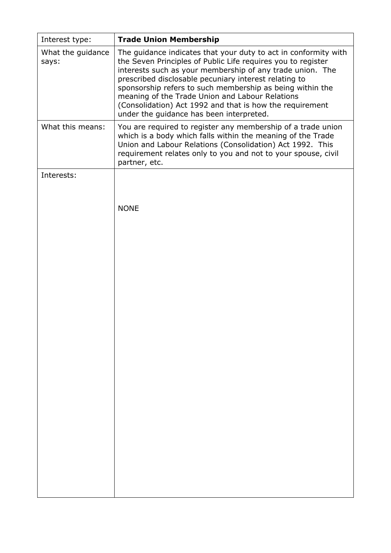| Interest type:             | <b>Trade Union Membership</b>                                                                                                                                                                                                                                                                                                                                                                                                                                                 |
|----------------------------|-------------------------------------------------------------------------------------------------------------------------------------------------------------------------------------------------------------------------------------------------------------------------------------------------------------------------------------------------------------------------------------------------------------------------------------------------------------------------------|
| What the guidance<br>says: | The guidance indicates that your duty to act in conformity with<br>the Seven Principles of Public Life requires you to register<br>interests such as your membership of any trade union. The<br>prescribed disclosable pecuniary interest relating to<br>sponsorship refers to such membership as being within the<br>meaning of the Trade Union and Labour Relations<br>(Consolidation) Act 1992 and that is how the requirement<br>under the guidance has been interpreted. |
| What this means:           | You are required to register any membership of a trade union<br>which is a body which falls within the meaning of the Trade<br>Union and Labour Relations (Consolidation) Act 1992. This<br>requirement relates only to you and not to your spouse, civil<br>partner, etc.                                                                                                                                                                                                    |
| Interests:                 | <b>NONE</b>                                                                                                                                                                                                                                                                                                                                                                                                                                                                   |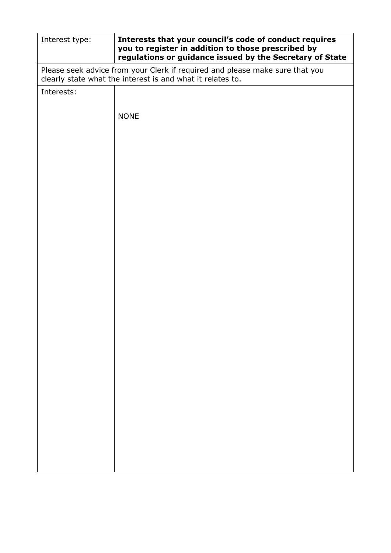| Interest type:                                                                                                                             | Interests that your council's code of conduct requires<br>you to register in addition to those prescribed by<br>regulations or guidance issued by the Secretary of State |  |
|--------------------------------------------------------------------------------------------------------------------------------------------|--------------------------------------------------------------------------------------------------------------------------------------------------------------------------|--|
| Please seek advice from your Clerk if required and please make sure that you<br>clearly state what the interest is and what it relates to. |                                                                                                                                                                          |  |
| Interests:                                                                                                                                 |                                                                                                                                                                          |  |
|                                                                                                                                            | <b>NONE</b>                                                                                                                                                              |  |
|                                                                                                                                            |                                                                                                                                                                          |  |
|                                                                                                                                            |                                                                                                                                                                          |  |
|                                                                                                                                            |                                                                                                                                                                          |  |
|                                                                                                                                            |                                                                                                                                                                          |  |
|                                                                                                                                            |                                                                                                                                                                          |  |
|                                                                                                                                            |                                                                                                                                                                          |  |
|                                                                                                                                            |                                                                                                                                                                          |  |
|                                                                                                                                            |                                                                                                                                                                          |  |
|                                                                                                                                            |                                                                                                                                                                          |  |
|                                                                                                                                            |                                                                                                                                                                          |  |
|                                                                                                                                            |                                                                                                                                                                          |  |
|                                                                                                                                            |                                                                                                                                                                          |  |
|                                                                                                                                            |                                                                                                                                                                          |  |
|                                                                                                                                            |                                                                                                                                                                          |  |
|                                                                                                                                            |                                                                                                                                                                          |  |
|                                                                                                                                            |                                                                                                                                                                          |  |